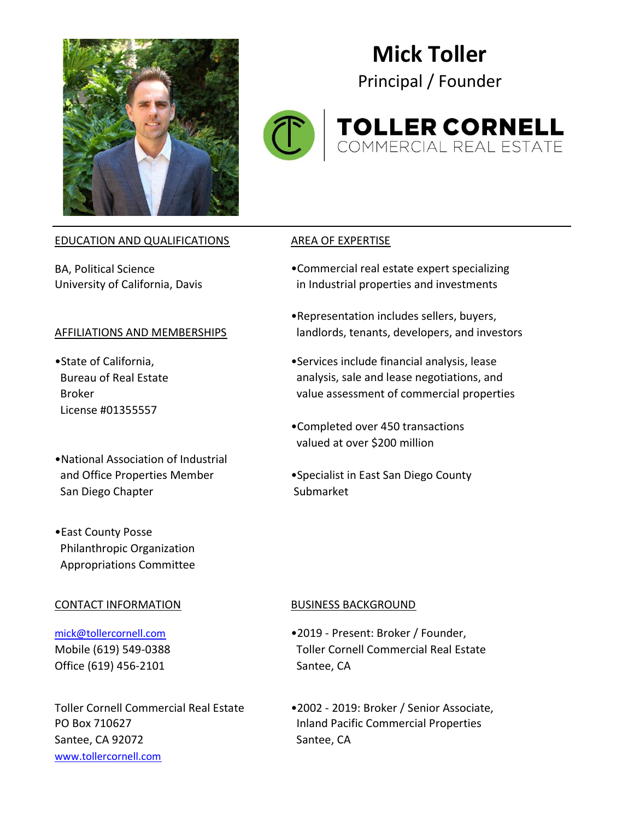

# Mick Toller

Principal / Founder



# **TOLLER CORNELL**<br>COMMERCIAL REAL ESTATE

### EDUCATION AND QUALIFICATIONS AREA OF EXPERTISE

- License #01355557
- •National Association of Industrial San Diego Chapter Submarket
- •East County Posse Philanthropic Organization Appropriations Committee

### CONTACT INFORMATION BUSINESS BACKGROUND

Office (619) 456-2101 Santee, CA

PO Box 710627 Inland Pacific Commercial Properties Santee, CA 92072 Santee, CA www.tollercornell.com

- BA, Political Science **•**Commercial real estate expert specializing University of California, Davis **in Industrial properties and investments**
- •Representation includes sellers, buyers, AFFILIATIONS AND MEMBERSHIPS landlords, tenants, developers, and investors
- •State of California, example and the Services include financial analysis, lease Bureau of Real Estate analysis, sale and lease negotiations, and Broker value assessment of commercial properties
	- •Completed over 450 transactions valued at over \$200 million
- and Office Properties Member •Specialist in East San Diego County

- mick@tollercornell.com •2019 Present: Broker / Founder, Mobile (619) 549-0388 Toller Cornell Commercial Real Estate
- Toller Cornell Commercial Real Estate •2002 2019: Broker / Senior Associate,